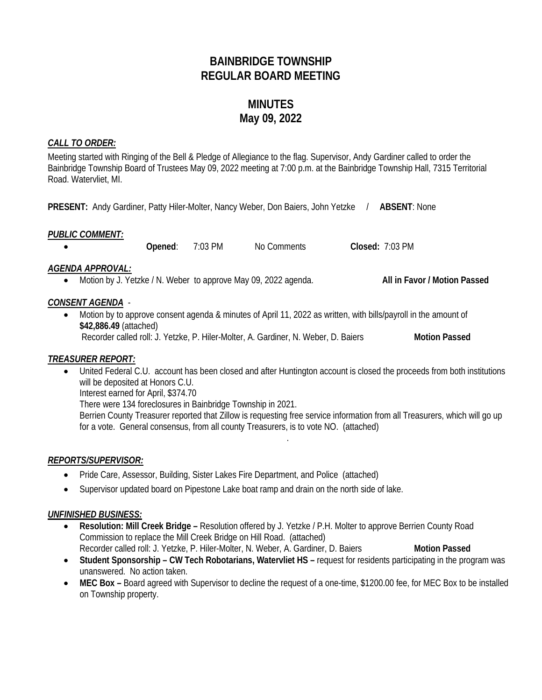# **BAINBRIDGE TOWNSHIP REGULAR BOARD MEETING**

# **MINUTES May 09, 2022**

# *CALL TO ORDER:*

Meeting started with Ringing of the Bell & Pledge of Allegiance to the flag. Supervisor, Andy Gardiner called to order the Bainbridge Township Board of Trustees May 09, 2022 meeting at 7:00 p.m. at the Bainbridge Township Hall, 7315 Territorial Road. Watervliet, MI.

**PRESENT:** Andy Gardiner, Patty Hiler-Molter, Nancy Weber, Don Baiers, John Yetzke / **ABSENT**: None

#### *PUBLIC COMMENT:*

• **Opened**: 7:03 PM No Comments **Closed:** 7:03 PM

# *AGENDA APPROVAL:*

• Motion by J. Yetzke / N. Weber to approve May 09, 2022 agenda. **All in Favor / Motion Passed** 

# *CONSENT AGENDA* -

• Motion by to approve consent agenda & minutes of April 11, 2022 as written, with bills/payroll in the amount of **\$42,886.49** (attached) Recorder called roll: J. Yetzke, P. Hiler-Molter, A. Gardiner, N. Weber, D. Baiers **Motion Passed**

# *TREASURER REPORT:*

• United Federal C.U. account has been closed and after Huntington account is closed the proceeds from both institutions will be deposited at Honors C.U.

Interest earned for April, \$374.70

There were 134 foreclosures in Bainbridge Township in 2021.

Berrien County Treasurer reported that Zillow is requesting free service information from all Treasurers, which will go up for a vote. General consensus, from all county Treasurers, is to vote NO. (attached)

.

# *REPORTS/SUPERVISOR:*

- Pride Care, Assessor, Building, Sister Lakes Fire Department, and Police (attached)
- Supervisor updated board on Pipestone Lake boat ramp and drain on the north side of lake.

# *UNFINISHED BUSINESS:*

- **Resolution: Mill Creek Bridge –** Resolution offered by J. Yetzke / P.H. Molter to approve Berrien County Road Commission to replace the Mill Creek Bridge on Hill Road. (attached) Recorder called roll: J. Yetzke, P. Hiler-Molter, N. Weber, A. Gardiner, D. Baiers **Motion Passed**
- **Student Sponsorship – CW Tech Robotarians, Watervliet HS –** request for residents participating in the program was unanswered. No action taken.
- **MEC Box –** Board agreed with Supervisor to decline the request of a one-time, \$1200.00 fee, for MEC Box to be installed on Township property.